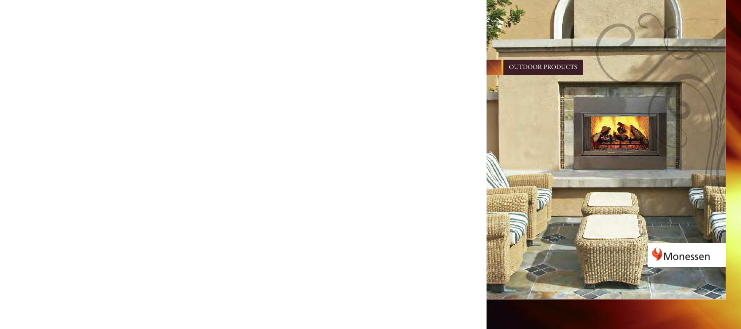# OUTDOOR PRODUCTS

**BASE REPORT** 

的复数医自然性的 网络阿拉伯阿拉伯阿拉伯阿拉伯

# Monessen

Files

羁 医胆囊炎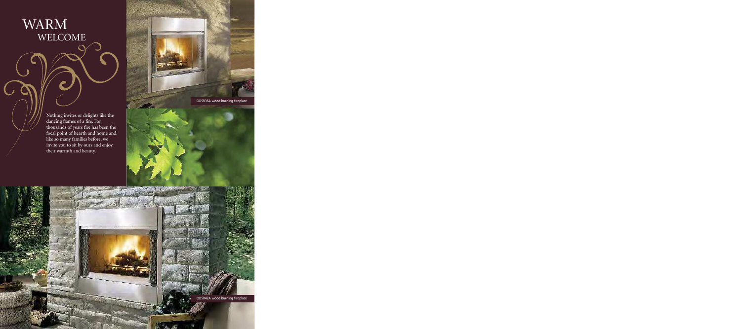WARM WELCOME

しと

Nothing invites or delights like the dancing flames of a fire. For thousands of years fire has been the focal point of hearth and home and, like so many families before, we invite you to sit by ours and enjoy their warmth and beauty.

ODSR36A wood burning fireplace

ODSR42A wood burning fireplace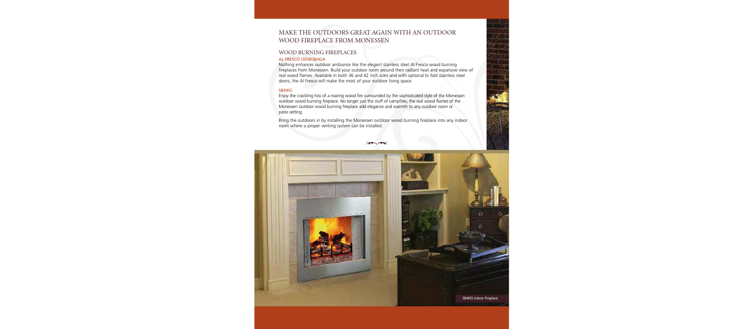# MAKE THE OUTDOORS GREAT AGAIN WITH AN OUTDOOR WOOD FIREPLACE FROM MONESSEN

# WOOD BURNING FIREPLACES

#### AL FRESCO ODSR36/42A

Nothing enhances outdoor ambiance like the elegant stainless steel Al Fresco wood burning fireplaces from Monessen. Build your outdoor room around their radiant heat and expansive view of real wood flames. Available in both 36 and 42 inch sizes and with optional bi fold stainless steel doors, the Al Fresco will make the most of your outdoor living space.

#### **SR44SS**

Enjoy the crackling hiss of a roaring wood fire surrounded by the sophisticated style of the Monessen outdoor wood burning fireplace. No longer just the stuff of campfires, the real wood flames of the Monessen outdoor wood burning fireplace add elegance and warmth to any outdoor room or patio setting.

Bring the outdoors in by installing the Monessen outdoor wood burning fireplace into any indoor room where a proper venting system can be installed.

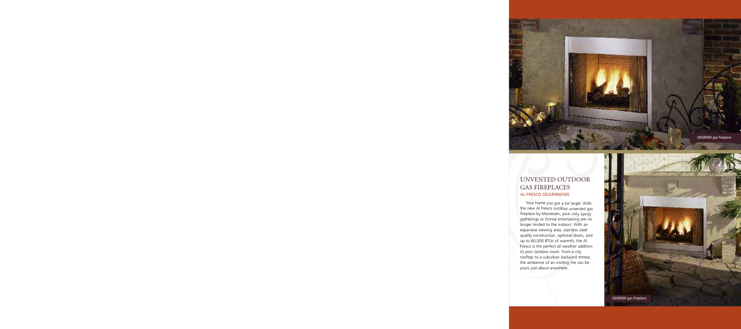

# UNVENTED OUTDOOR GAS FIREPLACES AL FRESCO ODGR400/500

Your home just got a lot larger. With the new Al Fresco outdoor unvented gas fireplace by Monessen, your cozy family gatherings or formal entertaining are no longer limited to the indoors. With an expansive viewing area, stainless steel quality construction, optional doors, and up to 60,000 BTUs of warmth, the Al Fresco is the perfect all weather addition to your outdoor room. From a city rooftop to a suburban backyard retreat, the ambience of an inviting fire can be yours just about anywhere.

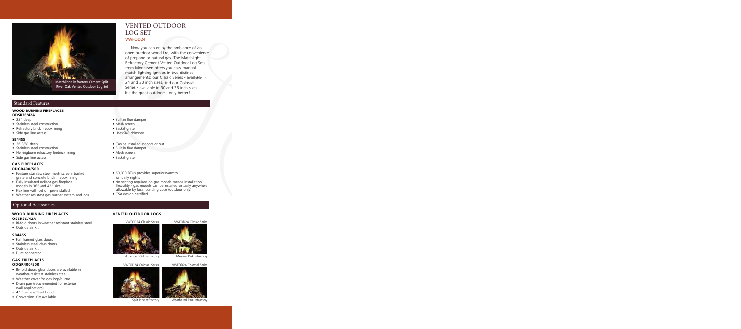

## Standard Features

### **WOOD BURNING FIREPLACES**

- **ODSR36/42A**
- $\bullet$  22" deep
- Stainless steel construction
- Refractory brick firebox lining
- Side gas line access

#### **SB44SS**

- •263/8"deep
- Stainless steel construction
- Herringbone refractory firebrick lining
- Side gas line access

#### **GASFIREPLACES ODGR400/500**

- Feature stainless steel mesh screen, basket grate and concrete brick firebox lining
- Fully insulated radiant gas fireplace models in 36" and 42" size
- Flex line with cut off pre-installed
- Weather resistant gas burner system and logs

## Optional Accessories

#### **WOOD BURNING FIREPLACES OSSR36/42A**

- Bi-fold doors in weather resistant stainless steel
- Outside air kit

#### **SB44SS**

- Full framed glass doors
- Stainless steel glass doors
- Outside air kit
- Duct connector

#### **GASFIREPLACES ODGR400/500**

- Bi-fold doors glass doors are available in weather-resistant stainless steel
- Weather cover for gas logs/burne
- Drain pan (recommended for exterior wall applications)
- 4" Stainless Steel Hood
- Conversion Kits available

# LOG SET VWFOD24

VENTED OUTDOOR

Now you can enjoy the ambiance of an open outdoor wood fire, with the convenience of propane or natural gas. The Matchlight Refractory Cement Vented Outdoor Log Sets from Monessen offers you easy manual match-lighting ignition in two distinct arrangements: our Classic Series - available in 24 and 30 inch sizes, and our Colossal Series - available in 30 and 36 inch sizes. It's the great outdoors - only better!

- Built in flue damper
- Mesh screen
- Basket grate
- Uses SK8 chimney
- Can be installed indoors or out
- Built in flue damper
- Mesh screen
- Basket grate
- 60,000 BTUs provides superior warmth on chilly nights
- No venting required on gas models means installation flexibility - gas models can be installed virtually anywhere allowable by local building code (outdoor only)
- CSA design certified

#### **VENTED OUTDOOR LOGS**

VWFOD24 Classic Series VWFOD24 Classic Series



American Oak refractory





Massive Oak refractory

VWFOD24 Colossal Series VWFOD24 Colossal Series



Split Pine refractory Weathered Pine refractory